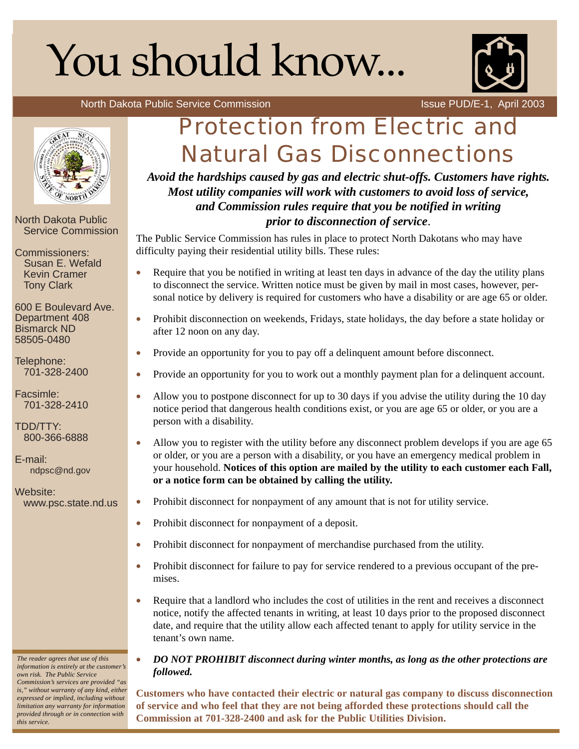# You should know...



North Dakota Public Service Commission **Issue PUD/E-1, April 2003** 



North Dakota Public Service Commission

Commissioners: Susan E. Wefald Kevin Cramer Tony Clark

600 E Boulevard Ave. Department 408 Bismarck ND 58505-0480

Telephone: 701-328-2400

Facsimle: 701-328-2410

TDD/TTY: 800-366-6888

E-mail: ndpsc@nd.gov

Website: www.psc.state.nd.us

*The reader agrees that use of this information is entirely at the customer's own risk. The Public Service Commission's services are provided "as is," without warranty of any kind, either expressed or implied, including without limitation any warranty for information provided through or in connection with*

*this service.*

# Protection from Electric and Natural Gas Disconnections

*Avoid the hardships caused by gas and electric shut-offs. Customers have rights. Most utility companies will work with customers to avoid loss of service, and Commission rules require that you be notified in writing prior to disconnection of service*.

The Public Service Commission has rules in place to protect North Dakotans who may have difficulty paying their residential utility bills. These rules:

- Require that you be notified in writing at least ten days in advance of the day the utility plans to disconnect the service. Written notice must be given by mail in most cases, however, personal notice by delivery is required for customers who have a disability or are age 65 or older.
- Prohibit disconnection on weekends, Fridays, state holidays, the day before a state holiday or after 12 noon on any day.
- Provide an opportunity for you to pay off a delinquent amount before disconnect.
- Provide an opportunity for you to work out a monthly payment plan for a delinquent account.
- Allow you to postpone disconnect for up to 30 days if you advise the utility during the 10 day notice period that dangerous health conditions exist, or you are age 65 or older, or you are a person with a disability.
- Allow you to register with the utility before any disconnect problem develops if you are age 65 or older, or you are a person with a disability, or you have an emergency medical problem in your household. **Notices of this option are mailed by the utility to each customer each Fall, or a notice form can be obtained by calling the utility.**
- Prohibit disconnect for nonpayment of any amount that is not for utility service.
- Prohibit disconnect for nonpayment of a deposit.
- Prohibit disconnect for nonpayment of merchandise purchased from the utility.
- Prohibit disconnect for failure to pay for service rendered to a previous occupant of the premises.
- Require that a landlord who includes the cost of utilities in the rent and receives a disconnect notice, notify the affected tenants in writing, at least 10 days prior to the proposed disconnect date, and require that the utility allow each affected tenant to apply for utility service in the tenant's own name.

# • *DO NOT PROHIBIT disconnect during winter months, as long as the other protections are followed.*

**Customers who have contacted their electric or natural gas company to discuss disconnection of service and who feel that they are not being afforded these protections should call the Commission at 701-328-2400 and ask for the Public Utilities Division.**